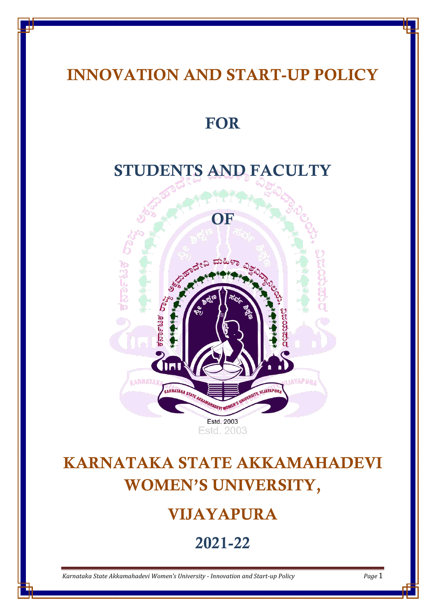## **INNOVATION AND START-UP POLICY**

## **FOR**

## **STUDENTS AND FACULTY**



# **KARNATAKA STATE AKKAMAHADEVI WOMEN'S UNIVERSITY,**

## **VIJAYAPURA**

**2021-22**

*Karnataka State Akkamahadevi Women's University - Innovation and Start-up Policy Page* 1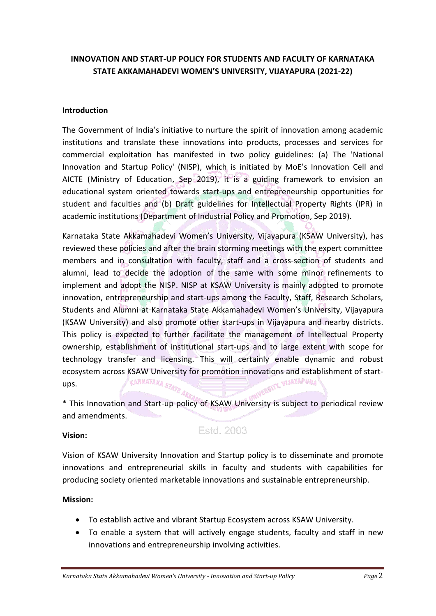## **INNOVATION AND START-UP POLICY FOR STUDENTS AND FACULTY OF KARNATAKA STATE AKKAMAHADEVI WOMEN'S UNIVERSITY, VIJAYAPURA (2021-22)**

#### **Introduction**

The Government of India's initiative to nurture the spirit of innovation among academic institutions and translate these innovations into products, processes and services for commercial exploitation has manifested in two policy guidelines: (a) The 'National Innovation and Startup Policy' (NISP), which is initiated by MoE's Innovation Cell and AICTE (Ministry of Education, Sep 2019), it is a guiding framework to envision an educational system oriented towards start-ups and entrepreneurship opportunities for student and faculties and (b) Draft guidelines for Intellectual Property Rights (IPR) in academic institutions (Department of Industrial Policy and Promotion, Sep 2019).

Karnataka State Akkamahadevi Women's University, Vijayapura (KSAW University), has reviewed these policies and after the brain storming meetings with the expert committee members and in consultation with faculty, staff and a cross-section of students and alumni, lead to decide the adoption of the same with some minor refinements to implement and adopt the NISP. NISP at KSAW University is mainly adopted to promote innovation, entrepreneurship and start-ups among the Faculty, Staff, Research Scholars, Students and Alumni at Karnataka State Akkamahadevi Women's University, Vijayapura (KSAW University) and also promote other start-ups in Vijayapura and nearby districts. This policy is expected to further facilitate the management of Intellectual Property ownership, establishment of institutional start-ups and to large extent with scope for technology transfer and licensing. This will certainly enable dynamic and robust ecosystem across KSAW University for promotion innovations and establishment of start-<br>ups. KARNATAKA  $s_{TATE}$ ups.

\* This Innovation and Start-up policy of KSAW University is subject to periodical review and amendments.

#### **Vision:**

## Estd. 2003

Vision of KSAW University Innovation and Startup policy is to disseminate and promote innovations and entrepreneurial skills in faculty and students with capabilities for producing society oriented marketable innovations and sustainable entrepreneurship.

#### **Mission:**

- To establish active and vibrant Startup Ecosystem across KSAW University.
- To enable a system that will actively engage students, faculty and staff in new innovations and entrepreneurship involving activities.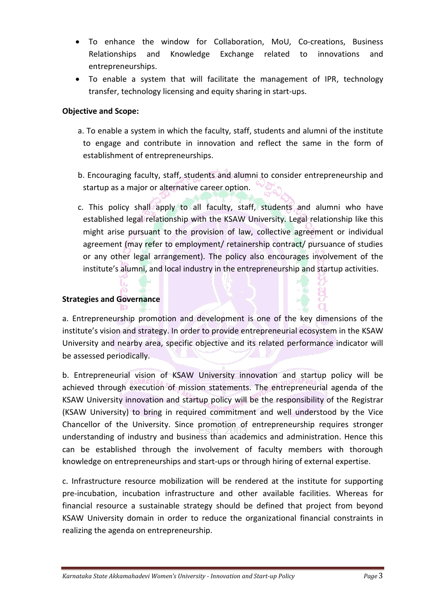- To enhance the window for Collaboration, MoU, Co-creations, Business Relationships and Knowledge Exchange related to innovations and entrepreneurships.
- To enable a system that will facilitate the management of IPR, technology transfer, technology licensing and equity sharing in start-ups.

## **Objective and Scope:**

- a. To enable a system in which the faculty, staff, students and alumni of the institute to engage and contribute in innovation and reflect the same in the form of establishment of entrepreneurships.
- b. Encouraging faculty, staff, students and alumni to consider entrepreneurship and startup as a major or alternative career option.
- c. This policy shall apply to all faculty, staff, students and alumni who have established legal relationship with the KSAW University. Legal relationship like this might arise pursuant to the provision of law, collective agreement or individual agreement (may refer to employment/ retainership contract/ pursuance of studies or any other legal arrangement). The policy also encourages involvement of the institute's alumni, and local industry in the entrepreneurship and startup activities.

## **Strategies and Governance**

a. Entrepreneurship promotion and development is one of the key dimensions of the institute's vision and strategy. In order to provide entrepreneurial ecosystem in the KSAW University and nearby area, specific objective and its related performance indicator will be assessed periodically.

b. Entrepreneurial vision of KSAW University innovation and startup policy will be achieved through execution of mission statements. The entrepreneurial agenda of the KSAW University innovation and startup policy will be the responsibility of the Registrar (KSAW University) to bring in required commitment and well understood by the Vice Chancellor of the University. Since promotion of entrepreneurship requires stronger understanding of industry and business than academics and administration. Hence this can be established through the involvement of faculty members with thorough knowledge on entrepreneurships and start-ups or through hiring of external expertise.

c. Infrastructure resource mobilization will be rendered at the institute for supporting pre-incubation, incubation infrastructure and other available facilities. Whereas for financial resource a sustainable strategy should be defined that project from beyond KSAW University domain in order to reduce the organizational financial constraints in realizing the agenda on entrepreneurship.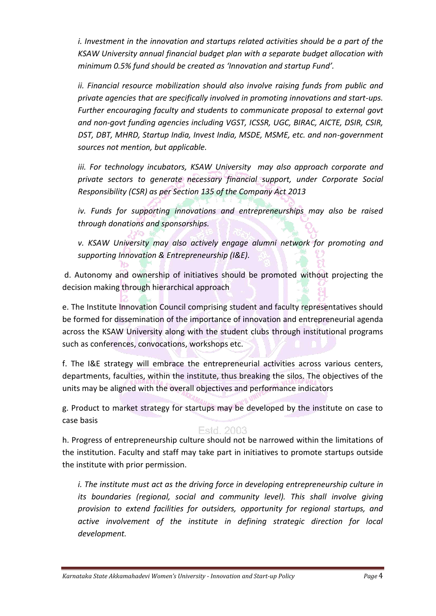*i. Investment in the innovation and startups related activities should be a part of the KSAW University annual financial budget plan with a separate budget allocation with minimum 0.5% fund should be created as 'Innovation and startup Fund'.*

*ii. Financial resource mobilization should also involve raising funds from public and private agencies that are specifically involved in promoting innovations and start-ups. Further encouraging faculty and students to communicate proposal to external govt and non-govt funding agencies including VGST, ICSSR, UGC, BIRAC, AICTE, DSIR, CSIR, DST, DBT, MHRD, Startup India, Invest India, MSDE, MSME, etc. and non-government sources not mention, but applicable.* 

*iii. For technology incubators, KSAW University may also approach corporate and private sectors to generate necessary financial support, under Corporate Social Responsibility (CSR) as per Section 135 of the Company Act 2013* 

*iv. Funds for supporting innovations and entrepreneurships may also be raised through donations and sponsorships.* 

*v. KSAW University may also actively engage alumni network for promoting and supporting Innovation & Entrepreneurship (I&E).*

d. Autonomy and ownership of initiatives should be promoted without projecting the decision making through hierarchical approach

e. The Institute Innovation Council comprising student and faculty representatives should be formed for dissemination of the importance of innovation and entrepreneurial agenda across the KSAW University along with the student clubs through institutional programs such as conferences, convocations, workshops etc.

f. The I&E strategy will embrace the entrepreneurial activities across various centers, departments, faculties, within the institute, thus breaking the silos. The objectives of the units may be aligned with the overall objectives and performance indicators

g. Product to market strategy for startups may be developed by the institute on case to case basis

## Estd. 2003

h. Progress of entrepreneurship culture should not be narrowed within the limitations of the institution. Faculty and staff may take part in initiatives to promote startups outside the institute with prior permission.

*i. The institute must act as the driving force in developing entrepreneurship culture in its boundaries (regional, social and community level). This shall involve giving provision to extend facilities for outsiders, opportunity for regional startups, and active involvement of the institute in defining strategic direction for local development.*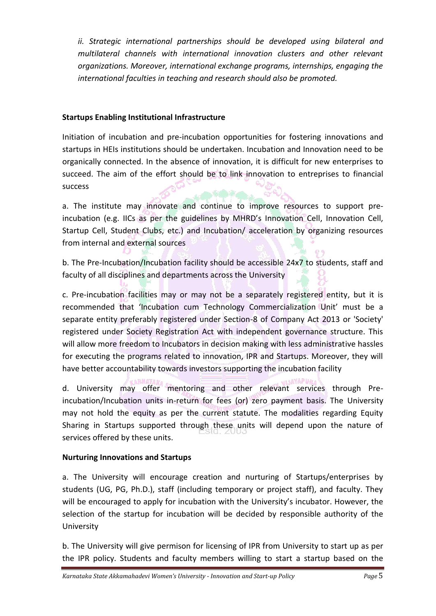*ii. Strategic international partnerships should be developed using bilateral and multilateral channels with international innovation clusters and other relevant organizations. Moreover, international exchange programs, internships, engaging the international faculties in teaching and research should also be promoted.* 

## **Startups Enabling Institutional Infrastructure**

Initiation of incubation and pre-incubation opportunities for fostering innovations and startups in HEIs institutions should be undertaken. Incubation and Innovation need to be organically connected. In the absence of innovation, it is difficult for new enterprises to succeed. The aim of the effort should be to link innovation to entreprises to financial success

a. The institute may innovate and continue to improve resources to support preincubation (e.g. IICs as per the guidelines by MHRD's Innovation Cell, Innovation Cell, Startup Cell, Student Clubs, etc.) and Incubation/ acceleration by organizing resources from internal and external sources

b. The Pre-Incubation/Incubation facility should be accessible 24x7 to students, staff and faculty of all disciplines and departments across the University

c. Pre-incubation facilities may or may not be a separately registered entity, but it is recommended that 'Incubation cum Technology Commercialization Unit' must be a separate entity preferably registered under Section-8 of Company Act 2013 or 'Society' registered under Society Registration Act with independent governance structure. This will allow more freedom to Incubators in decision making with less administrative hassles for executing the programs related to innovation, IPR and Startups. Moreover, they will have better accountability towards investors supporting the incubation facility

**VIJAYAPURA** d. University may offer mentoring and other relevant services through Preincubation/Incubation units in-return for fees (or) zero payment basis. The University may not hold the equity as per the current statute. The modalities regarding Equity Sharing in Startups supported through these units will depend upon the nature of services offered by these units.

## **Nurturing Innovations and Startups**

a. The University will encourage creation and nurturing of Startups/enterprises by students (UG, PG, Ph.D.), staff (including temporary or project staff), and faculty. They will be encouraged to apply for incubation with the University's incubator. However, the selection of the startup for incubation will be decided by responsible authority of the University

b. The University will give permison for licensing of IPR from University to start up as per the IPR policy. Students and faculty members willing to start a startup based on the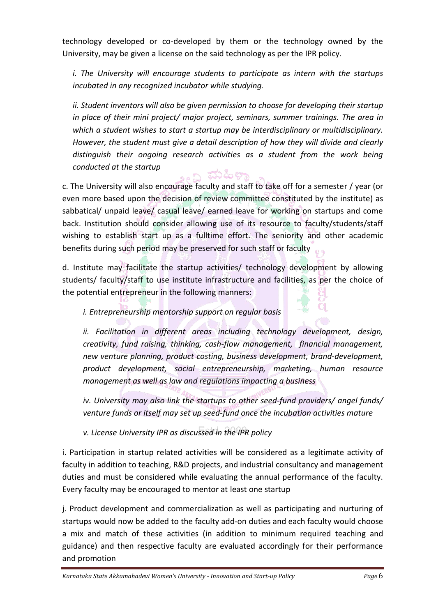technology developed or co-developed by them or the technology owned by the University, may be given a license on the said technology as per the IPR policy.

*i. The University will encourage students to participate as intern with the startups incubated in any recognized incubator while studying.*

*ii. Student inventors will also be given permission to choose for developing their startup in place of their mini project/ major project, seminars, summer trainings. The area in which a student wishes to start a startup may be interdisciplinary or multidisciplinary. However, the student must give a detail description of how they will divide and clearly distinguish their ongoing research activities as a student from the work being conducted at the startup* ್ ಮಹಿಳಾ

c. The University will also encourage faculty and staff to take off for a semester / year (or even more based upon the decision of review committee constituted by the institute) as sabbatical/ unpaid leave/ casual leave/ earned leave for working on startups and come back. Institution should consider allowing use of its resource to faculty/students/staff wishing to establish start up as a fulltime effort. The seniority and other academic benefits during such period may be preserved for such staff or faculty

d. Institute may facilitate the startup activities/ technology development by allowing students/ faculty/staff to use institute infrastructure and facilities, as per the choice of the potential entrepreneur in the following manners:

*i. Entrepreneurship mentorship support on regular basis*

*ii. Facilitation in different areas including technology development, design, creativity, fund raising, thinking, cash-flow management, financial management, new venture planning, product costing, business development, brand-development, product development, social entrepreneurship, marketing, human resource management as well as law and regulations impacting a business*

*iv. University may also link the startups to other seed-fund providers/ angel funds/ venture funds or itself may set up seed-fund once the incubation activities mature*

*v. License University IPR as discussed in the IPR policy*

i. Participation in startup related activities will be considered as a legitimate activity of faculty in addition to teaching, R&D projects, and industrial consultancy and management duties and must be considered while evaluating the annual performance of the faculty. Every faculty may be encouraged to mentor at least one startup

j. Product development and commercialization as well as participating and nurturing of startups would now be added to the faculty add-on duties and each faculty would choose a mix and match of these activities (in addition to minimum required teaching and guidance) and then respective faculty are evaluated accordingly for their performance and promotion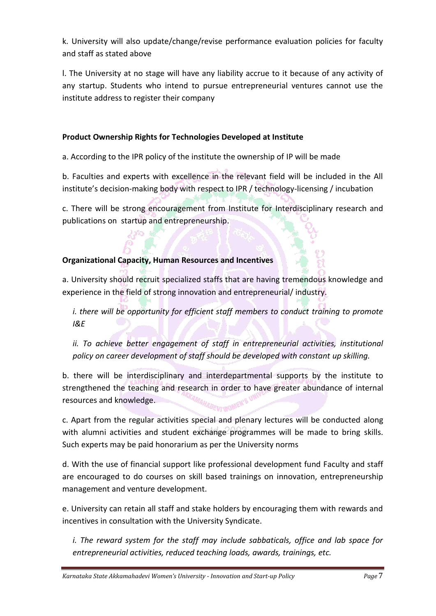k. University will also update/change/revise performance evaluation policies for faculty and staff as stated above

l. The University at no stage will have any liability accrue to it because of any activity of any startup. Students who intend to pursue entrepreneurial ventures cannot use the institute address to register their company

## **Product Ownership Rights for Technologies Developed at Institute**

a. According to the IPR policy of the institute the ownership of IP will be made

b. Faculties and experts with excellence in the relevant field will be included in the All institute's decision-making body with respect to IPR / technology-licensing / incubation

c. There will be strong encouragement from Institute for Interdisciplinary research and publications on startup and entrepreneurship.

## **Organizational Capacity, Human Resources and Incentives**

a. University should recruit specialized staffs that are having tremendous knowledge and experience in the field of strong innovation and entrepreneurial/ industry.

*i. there will be opportunity for efficient staff members to conduct training to promote I&E*

ii. To achieve better engagement of staff in entrepreneurial activities, institutional *policy on career development of staff should be developed with constant up skilling.*

b. there will be interdisciplinary and interdepartmental supports by the institute to strengthened the teaching and research in order to have greater abundance of internal resources and knowledge. **AHADEVIWOMEN** 

c. Apart from the regular activities special and plenary lectures will be conducted along with alumni activities and student exchange programmes will be made to bring skills. Such experts may be paid honorarium as per the University norms

d. With the use of financial support like professional development fund Faculty and staff are encouraged to do courses on skill based trainings on innovation, entrepreneurship management and venture development.

e. University can retain all staff and stake holders by encouraging them with rewards and incentives in consultation with the University Syndicate.

*i. The reward system for the staff may include sabbaticals, office and lab space for entrepreneurial activities, reduced teaching loads, awards, trainings, etc.*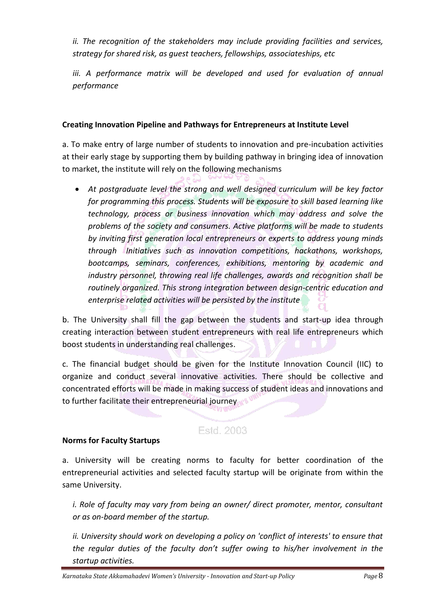*ii. The recognition of the stakeholders may include providing facilities and services, strategy for shared risk, as guest teachers, fellowships, associateships, etc*

iii. A performance matrix will be developed and used for evaluation of annual *performance*

## **Creating Innovation Pipeline and Pathways for Entrepreneurs at Institute Level**

a. To make entry of large number of students to innovation and pre-incubation activities at their early stage by supporting them by building pathway in bringing idea of innovation to market, the institute will rely on the following mechanisms

 *At postgraduate level the strong and well designed curriculum will be key factor for programming this process. Students will be exposure to skill based learning like technology, process or business innovation which may address and solve the problems of the society and consumers. Active platforms will be made to students by inviting first generation local entrepreneurs or experts to address young minds through Initiatives such as innovation competitions, hackathons, workshops, bootcamps, seminars, conferences, exhibitions, mentoring by academic and industry personnel, throwing real life challenges, awards and recognition shall be routinely organized. This strong integration between design-centric education and enterprise related activities will be persisted by the institute*

b. The University shall fill the gap between the students and start-up idea through creating interaction between student entrepreneurs with real life entrepreneurs which boost students in understanding real challenges.

c. The financial budget should be given for the Institute Innovation Council (IIC) to organize and conduct several innovative activities. There should be collective and concentrated efforts will be made in making success of student ideas and innovations and to further facilitate their entrepreneurial journey

## Estd. 2003

### **Norms for Faculty Startups**

a. University will be creating norms to faculty for better coordination of the entrepreneurial activities and selected faculty startup will be originate from within the same University.

*i. Role of faculty may vary from being an owner/ direct promoter, mentor, consultant or as on-board member of the startup.*

*ii. University should work on developing a policy on 'conflict of interests' to ensure that the regular duties of the faculty don't suffer owing to his/her involvement in the startup activities.*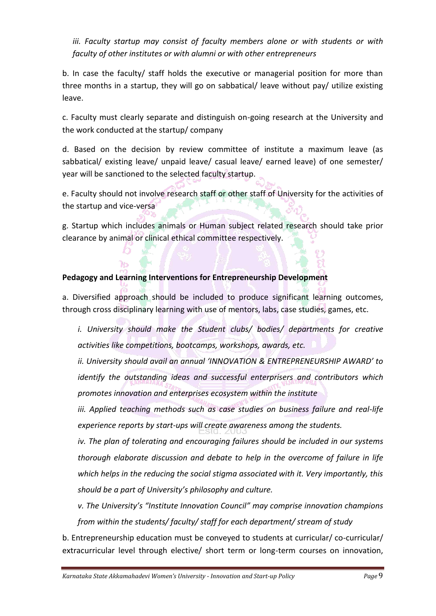*iii. Faculty startup may consist of faculty members alone or with students or with faculty of other institutes or with alumni or with other entrepreneurs*

b. In case the faculty/ staff holds the executive or managerial position for more than three months in a startup, they will go on sabbatical/ leave without pay/ utilize existing leave.

c. Faculty must clearly separate and distinguish on-going research at the University and the work conducted at the startup/ company

d. Based on the decision by review committee of institute a maximum leave (as sabbatical/ existing leave/ unpaid leave/ casual leave/ earned leave) of one semester/ year will be sanctioned to the selected faculty startup.

e. Faculty should not involve research staff or other staff of University for the activities of the startup and vice-versa

g. Startup which includes animals or Human subject related research should take prior clearance by animal or clinical ethical committee respectively.

## **Pedagogy and Learning Interventions for Entrepreneurship Development**

**Jun** 

a. Diversified approach should be included to produce significant learning outcomes, through cross disciplinary learning with use of mentors, labs, case studies, games, etc.

*i. University should make the Student clubs/ bodies/ departments for creative activities like competitions, bootcamps, workshops, awards, etc.*

*ii. University should avail an annual 'INNOVATION & ENTREPRENEURSHIP AWARD' to identify the outstanding ideas and successful enterprisers and contributors which promotes innovation and enterprises ecosystem within the institute*

*iii. Applied teaching methods such as case studies on business failure and real-life experience reports by start-ups will create awareness among the students.*

*iv. The plan of tolerating and encouraging failures should be included in our systems thorough elaborate discussion and debate to help in the overcome of failure in life which helps in the reducing the social stigma associated with it. Very importantly, this should be a part of University's philosophy and culture.*

*v. The University's "Institute Innovation Council" may comprise innovation champions from within the students/ faculty/ staff for each department/ stream of study*

b. Entrepreneurship education must be conveyed to students at curricular/ co-curricular/ extracurricular level through elective/ short term or long-term courses on innovation,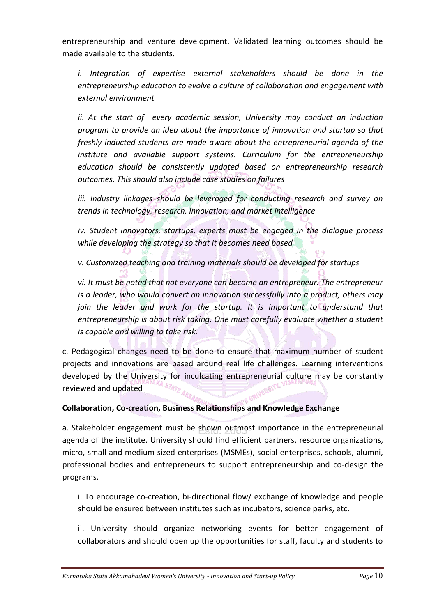entrepreneurship and venture development. Validated learning outcomes should be made available to the students.

*i. Integration of expertise external stakeholders should be done in the entrepreneurship education to evolve a culture of collaboration and engagement with external environment*

*ii. At the start of every academic session, University may conduct an induction program to provide an idea about the importance of innovation and startup so that freshly inducted students are made aware about the entrepreneurial agenda of the institute and available support systems. Curriculum for the entrepreneurship education should be consistently updated based on entrepreneurship research outcomes. This should also include case studies on failures*

*iii. Industry linkages should be leveraged for conducting research and survey on trends in technology, research, innovation, and market intelligence*

*iv. Student innovators, startups, experts must be engaged in the dialogue process while developing the strategy so that it becomes need based*

*v. Customized teaching and training materials should be developed for startups*

*vi. It must be noted that not everyone can become an entrepreneur. The entrepreneur is a leader, who would convert an innovation successfully into a product, others may join the leader and work for the startup. It is important to understand that entrepreneurship is about risk taking. One must carefully evaluate whether a student is capable and willing to take risk.*

c. Pedagogical changes need to be done to ensure that maximum number of student projects and innovations are based around real life challenges. Learning interventions developed by the University for inculcating entrepreneurial culture may be constantly reviewed and updated

### **Collaboration, Co-creation, Business Relationships and Knowledge Exchange**

a. Stakeholder engagement must be shown outmost importance in the entrepreneurial agenda of the institute. University should find efficient partners, resource organizations, micro, small and medium sized enterprises (MSMEs), social enterprises, schools, alumni, professional bodies and entrepreneurs to support entrepreneurship and co-design the programs.

i. To encourage co-creation, bi-directional flow/ exchange of knowledge and people should be ensured between institutes such as incubators, science parks, etc.

ii. University should organize networking events for better engagement of collaborators and should open up the opportunities for staff, faculty and students to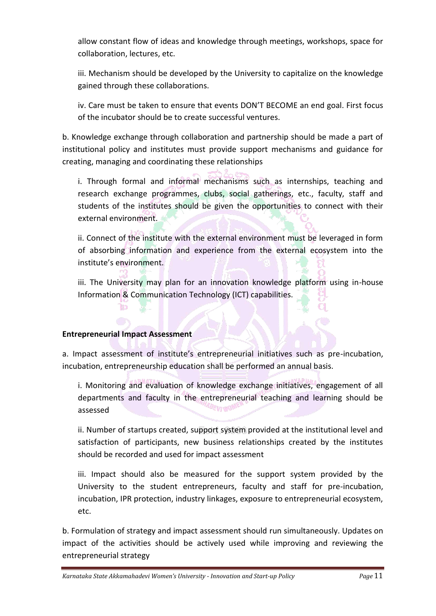allow constant flow of ideas and knowledge through meetings, workshops, space for collaboration, lectures, etc.

iii. Mechanism should be developed by the University to capitalize on the knowledge gained through these collaborations.

iv. Care must be taken to ensure that events DON'T BECOME an end goal. First focus of the incubator should be to create successful ventures.

b. Knowledge exchange through collaboration and partnership should be made a part of institutional policy and institutes must provide support mechanisms and guidance for creating, managing and coordinating these relationships

i. Through formal and informal mechanisms such as internships, teaching and research exchange programmes, clubs, social gatherings, etc., faculty, staff and students of the institutes should be given the opportunities to connect with their external environment.

ii. Connect of the institute with the external environment must be leveraged in form of absorbing information and experience from the external ecosystem into the institute's environment.

iii. The University may plan for an innovation knowledge platform using in-house Information & Communication Technology (ICT) capabilities.

### **Entrepreneurial Impact Assessment**

**HO** 

a. Impact assessment of institute's entrepreneurial initiatives such as pre-incubation, incubation, entrepreneurship education shall be performed an annual basis.

i. Monitoring and evaluation of knowledge exchange initiatives, engagement of all departments and faculty in the entrepreneurial teaching and learning should be <sup>ID</sup>EVIWO<sup>N</sup> assessed

ii. Number of startups created, support system provided at the institutional level and satisfaction of participants, new business relationships created by the institutes should be recorded and used for impact assessment

iii. Impact should also be measured for the support system provided by the University to the student entrepreneurs, faculty and staff for pre-incubation, incubation, IPR protection, industry linkages, exposure to entrepreneurial ecosystem, etc.

b. Formulation of strategy and impact assessment should run simultaneously. Updates on impact of the activities should be actively used while improving and reviewing the entrepreneurial strategy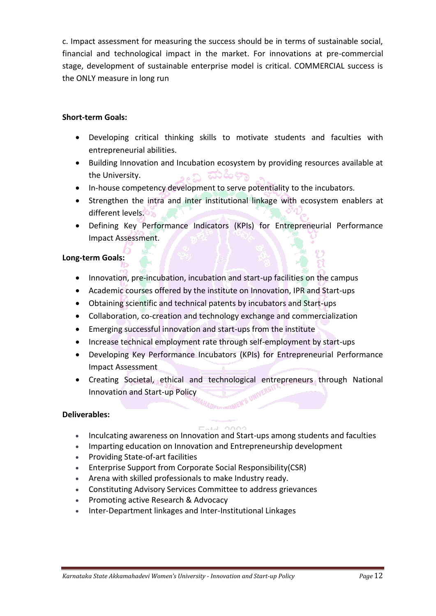c. Impact assessment for measuring the success should be in terms of sustainable social, financial and technological impact in the market. For innovations at pre-commercial stage, development of sustainable enterprise model is critical. COMMERCIAL success is the ONLY measure in long run

## **Short-term Goals:**

- Developing critical thinking skills to motivate students and faculties with entrepreneurial abilities.
- Building Innovation and Incubation ecosystem by providing resources available at the University. ್ನಾಂ **ಲಾ**
- In-house competency development to serve potentiality to the incubators.
- Strengthen the intra and inter institutional linkage with ecosystem enablers at different levels.<sup>6</sup>
- Defining Key Performance Indicators (KPIs) for Entrepreneurial Performance Impact Assessment.

## **Long-term Goals:**

- Innovation, pre-incubation, incubation and start-up facilities on the campus
- Academic courses offered by the institute on Innovation, IPR and Start-ups
- Obtaining scientific and technical patents by incubators and Start-ups
- Collaboration, co-creation and technology exchange and commercialization
- Emerging successful innovation and start-ups from the institute
- Increase technical employment rate through self-employment by start-ups
- Developing Key Performance Incubators (KPIs) for Entrepreneurial Performance Impact Assessment
- Creating Societal, ethical and technological entrepreneurs through National Innovation and Start-up Policy

### **Deliverables:**

- 
- Inculcating awareness on Innovation and Start-ups among students and faculties
- Imparting education on Innovation and Entrepreneurship development
- Providing State-of-art facilities
- Enterprise Support from Corporate Social Responsibility(CSR)
- Arena with skilled professionals to make Industry ready.
- Constituting Advisory Services Committee to address grievances
- Promoting active Research & Advocacy
- Inter-Department linkages and Inter-Institutional Linkages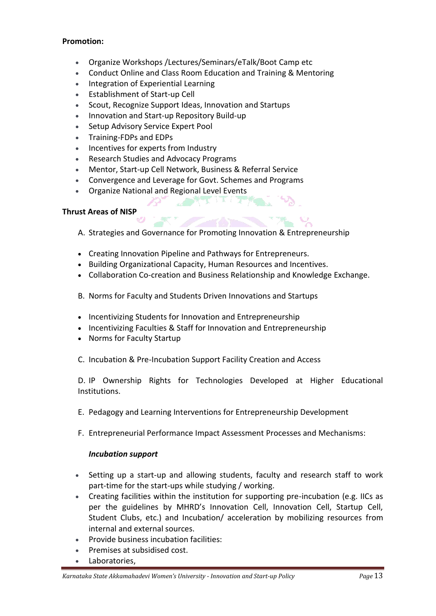#### **Promotion:**

- Organize Workshops /Lectures/Seminars/eTalk/Boot Camp etc
- Conduct Online and Class Room Education and Training & Mentoring
- Integration of Experiential Learning
- Establishment of Start-up Cell
- Scout, Recognize Support Ideas, Innovation and Startups
- Innovation and Start-up Repository Build-up
- Setup Advisory Service Expert Pool
- Training-FDPs and EDPs
- Incentives for experts from Industry
- Research Studies and Advocacy Programs
- Mentor, Start-up Cell Network, Business & Referral Service
- Convergence and Leverage for Govt. Schemes and Programs
- Organize National and Regional Level Events

#### **Thrust Areas of NISP**

- A. Strategies and Governance for Promoting Innovation & Entrepreneurship
- Creating Innovation Pipeline and Pathways for Entrepreneurs.
- Building Organizational Capacity, Human Resources and Incentives.
- Collaboration Co-creation and Business Relationship and Knowledge Exchange.
- B. Norms for Faculty and Students Driven Innovations and Startups
- Incentivizing Students for Innovation and Entrepreneurship
- Incentivizing Faculties & Staff for Innovation and Entrepreneurship
- Norms for Faculty Startup

C. Incubation & Pre-Incubation Support Facility Creation and Access

D. IP Ownership Rights for Technologies Developed at Higher Educational Institutions.

- E. Pedagogy and Learning Interventions for Entrepreneurship Development
- F. Entrepreneurial Performance Impact Assessment Processes and Mechanisms:

#### *Incubation support*

- Setting up a start-up and allowing students, faculty and research staff to work part-time for the start-ups while studying / working.
- Creating facilities within the institution for supporting pre-incubation (e.g. IICs as per the guidelines by MHRD's Innovation Cell, Innovation Cell, Startup Cell, Student Clubs, etc.) and Incubation/ acceleration by mobilizing resources from internal and external sources.
- Provide business incubation facilities:
- Premises at subsidised cost.
- Laboratories,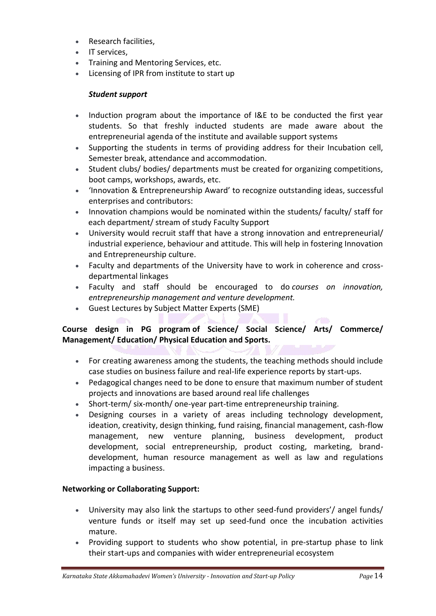- Research facilities,
- **IT services,**
- **Training and Mentoring Services, etc.**
- Licensing of IPR from institute to start up

## *Student support*

- Induction program about the importance of I&E to be conducted the first year students. So that freshly inducted students are made aware about the entrepreneurial agenda of the institute and available support systems
- Supporting the students in terms of providing address for their Incubation cell, Semester break, attendance and accommodation.
- Student clubs/ bodies/ departments must be created for organizing competitions, boot camps, workshops, awards, etc.
- 'Innovation & Entrepreneurship Award' to recognize outstanding ideas, successful enterprises and contributors:
- Innovation champions would be nominated within the students/ faculty/ staff for each department/ stream of study Faculty Support
- University would recruit staff that have a strong innovation and entrepreneurial/ industrial experience, behaviour and attitude. This will help in fostering Innovation and Entrepreneurship culture.
- Faculty and departments of the University have to work in coherence and crossdepartmental linkages
- Faculty and staff should be encouraged to do *courses on innovation, entrepreneurship management and venture development.*
- Guest Lectures by Subject Matter Experts (SME)

## **Course design in PG program of Science/ Social Science/ Arts/ Commerce/ Management/ Education/ Physical Education and Sports.**

- For creating awareness among the students, the teaching methods should include case studies on business failure and real-life experience reports by start-ups.
- Pedagogical changes need to be done to ensure that maximum number of student projects and innovations are based around real life challenges
- Short-term/ six-month/ one-year part-time entrepreneurship training.
- Designing courses in a variety of areas including technology development, ideation, creativity, design thinking, fund raising, financial management, cash-flow management, new venture planning, business development, product development, social entrepreneurship, product costing, marketing, branddevelopment, human resource management as well as law and regulations impacting a business.

### **Networking or Collaborating Support:**

- University may also link the startups to other seed-fund providers'/ angel funds/ venture funds or itself may set up seed-fund once the incubation activities mature.
- Providing support to students who show potential, in pre-startup phase to link their start-ups and companies with wider entrepreneurial ecosystem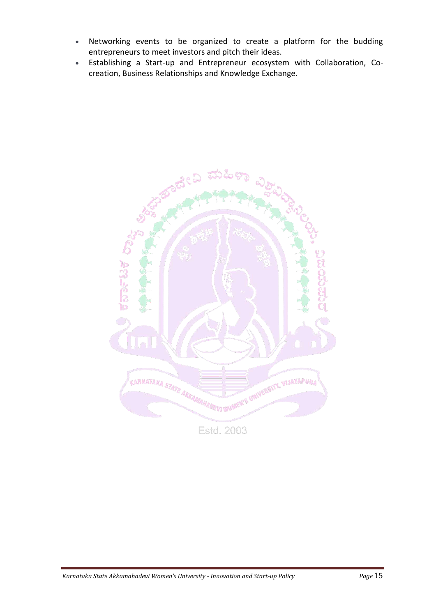- Networking events to be organized to create a platform for the budding entrepreneurs to meet investors and pitch their ideas.
- Establishing a Start-up and Entrepreneur ecosystem with Collaboration, Cocreation, Business Relationships and Knowledge Exchange.

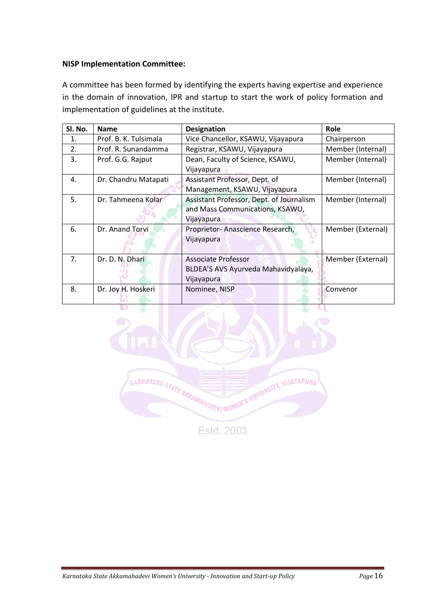#### **NISP Implementation Committee:**

A committee has been formed by identifying the experts having expertise and experience in the domain of innovation, IPR and startup to start the work of policy formation and implementation of guidelines at the institute.

| Sl. No.          | <b>Name</b>           | <b>Designation</b>                       | Role              |
|------------------|-----------------------|------------------------------------------|-------------------|
| $\mathbf{1}$ .   | Prof. B. K. Tulsimala | Vice Chancellor, KSAWU, Vijayapura       | Chairperson       |
| $\overline{2}$ . | Prof. R. Sunandamma   | Registrar, KSAWU, Vijayapura             | Member (Internal) |
| 3.               | Prof. G.G. Rajput     | Dean, Faculty of Science, KSAWU,         | Member (Internal) |
|                  |                       | Vijayapura                               |                   |
| 4.               | Dr. Chandru Matapati  | Assistant Professor, Dept. of            | Member (Internal) |
|                  |                       | Management, KSAWU, Vijayapura            |                   |
| 5.               | Dr. Tahmeena Kolar    | Assistant Professor, Dept. of Journalism | Member (Internal) |
|                  |                       | and Mass Communications, KSAWU,          |                   |
|                  |                       | Vijayapura                               |                   |
| 6.               | Dr. Anand Torvi       | Proprietor-Anascience Research,          | Member (External) |
|                  |                       | Vijayapura                               |                   |
|                  |                       |                                          |                   |
| 7 <sub>1</sub>   | Dr. D. N. Dhari       | Associate Professor                      | Member (External) |
|                  |                       | BLDEA'S AVS Ayurveda Mahavidyalaya,      |                   |
|                  |                       | Vijayapura                               |                   |
| 8.               | Dr. Joy H. Hoskeri    | Nominee, NISP                            | Convenor          |
|                  |                       |                                          |                   |



**Estd. 2003**